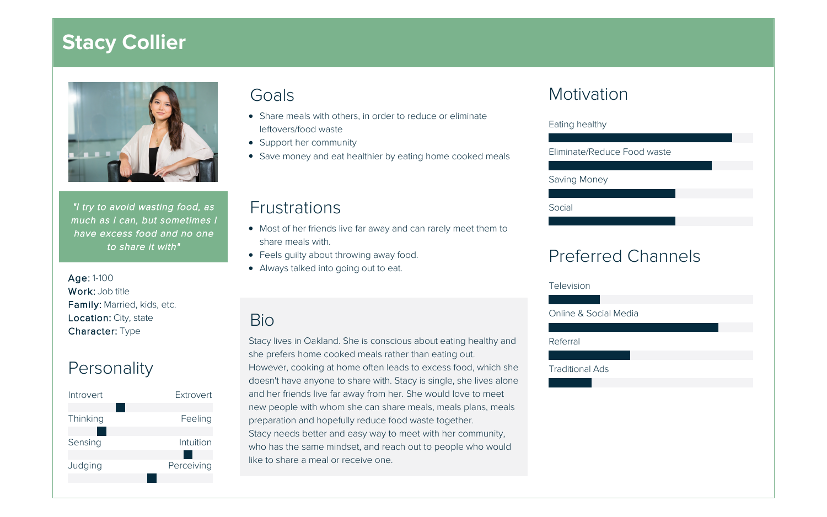# **Stacy Collier**



"I try to avoid wasting food, as much as I can, but sometimes I have excess food and no one to share it with"

Age: 1-100 Work: Job title Family: Married, kids, etc. Location: City, state Character: Type

### **Personality**



#### Goals

- Share meals with others, in order to reduce or eliminate leftovers/food waste
- Support her community
- Save money and eat healthier by eating home cooked meals

#### **Frustrations**

- Most of her friends live far away and can rarely meet them to share meals with.
- Feels guilty about throwing away food.
- Always talked into going out to eat.

#### Bio

Stacy lives in Oakland. She is conscious about eating healthy and she prefers home cooked meals rather than eating out. However, cooking at home often leads to excess food, which she doesn't have anyone to share with. Stacy is single, she lives alone and her friends live far away from her. She would love to meet new people with whom she can share meals, meals plans, meals preparation and hopefully reduce food waste together. Stacy needs better and easy way to meet with her community, who has the same mindset, and reach out to people who would like to share a meal or receive one.

#### **Motivation**

| Eating healthy              |
|-----------------------------|
|                             |
| Eliminate/Reduce Food waste |
|                             |
| Saving Money                |
|                             |
| Social                      |
|                             |
|                             |
| <b>Preferred Channels</b>   |
| Television                  |
|                             |

Online & Social Media

Referral

Traditional Ads